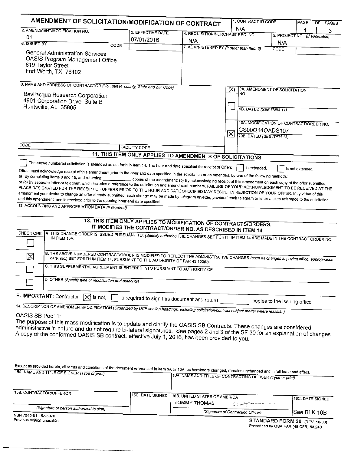| AMENDMENT OF SOLICITATION/MODIFICATION OF CONTRACT<br>2. AMENDMENT/MODIFICATION NO.                                                                                                                                                                                                                                                                                                                                                                                                                                                                                                                                                                                                                                                                                                                                                                             |                                                                                                                                                                                 |                                           | N/A                                                                                                                                                                                        |                                |  | 3 |
|-----------------------------------------------------------------------------------------------------------------------------------------------------------------------------------------------------------------------------------------------------------------------------------------------------------------------------------------------------------------------------------------------------------------------------------------------------------------------------------------------------------------------------------------------------------------------------------------------------------------------------------------------------------------------------------------------------------------------------------------------------------------------------------------------------------------------------------------------------------------|---------------------------------------------------------------------------------------------------------------------------------------------------------------------------------|-------------------------------------------|--------------------------------------------------------------------------------------------------------------------------------------------------------------------------------------------|--------------------------------|--|---|
| 01                                                                                                                                                                                                                                                                                                                                                                                                                                                                                                                                                                                                                                                                                                                                                                                                                                                              | 3. EFFECTIVE DATE                                                                                                                                                               | 4. REQUISITION/PURCHASE REQ. NO.          |                                                                                                                                                                                            | 5. PROJECT NO. (If applicable) |  |   |
| 6. ISSUED BY<br>CODE                                                                                                                                                                                                                                                                                                                                                                                                                                                                                                                                                                                                                                                                                                                                                                                                                                            | 07/01/2016                                                                                                                                                                      | N/A                                       |                                                                                                                                                                                            | N/A                            |  |   |
| <b>General Administration Services</b><br>OASIS Program Management Office<br>819 Taylor Street<br>Fort Worth, TX 76102                                                                                                                                                                                                                                                                                                                                                                                                                                                                                                                                                                                                                                                                                                                                          |                                                                                                                                                                                 | 7. ADMINISTERED BY (If other than Item 6) |                                                                                                                                                                                            | CODE                           |  |   |
| 8. NAME AND ADDRESS OF CONTRACTOR (No., street, county, State and ZIP Code)                                                                                                                                                                                                                                                                                                                                                                                                                                                                                                                                                                                                                                                                                                                                                                                     |                                                                                                                                                                                 |                                           |                                                                                                                                                                                            |                                |  |   |
| Bevilacqua Research Corporation<br>4901 Corporation Drive, Suite B<br>Huntsville, AL 35805                                                                                                                                                                                                                                                                                                                                                                                                                                                                                                                                                                                                                                                                                                                                                                      |                                                                                                                                                                                 |                                           | (X)<br>9A. AMENDMENT OF SOLICITATION<br>NO.<br>9B. DATED (SEE ITEM 11)<br>10A. MODIFICATION OF CONTRACT/ORDER NO.<br>GS00Q14OADS107<br>$\overline{\mathsf{x}}$<br>10B. DATED (SEE ITEM 13) |                                |  |   |
| CODE                                                                                                                                                                                                                                                                                                                                                                                                                                                                                                                                                                                                                                                                                                                                                                                                                                                            |                                                                                                                                                                                 |                                           |                                                                                                                                                                                            |                                |  |   |
|                                                                                                                                                                                                                                                                                                                                                                                                                                                                                                                                                                                                                                                                                                                                                                                                                                                                 | <b>FACILITY CODE</b><br>11. THIS ITEM ONLY APPLIES TO AMENDMENTS OF SOLICITATIONS                                                                                               |                                           |                                                                                                                                                                                            |                                |  |   |
| Offers must acknowledge receipt of this amendment prior to the hour and date specified in the solicitation or as amended, by one of the following methods:<br>(a) By completing items 8 and 15, and returning<br>or (c) By separate letter or telegram which includes a reference to the solicitation and amendment numbers. FAILURE OF YOUR ACKNOWLEDGMENT TO BE RECEIVED AT THE<br>PLACE DESIGNATED FOR THE RECEIPT OF OFFERS PRIOR TO THE HOUR AND DATE SPECIFIED MAY RESULT IN REJECTION OF YOUR OFFER. If by virtue of this<br>amendment your desire to change an offer already submitted, such change may be made by telegram or letter, provided each telegram or letter makes reference to the solicitation<br>and this amendment, and is received prior to the opening hour and date specified.<br>12. ACCOUNTING AND APPROPRIATION DATA (If required) | copies of the amendment; (b) By acknowledging receipt of this amendment on each copy of the offer submitted;<br>13. THIS ITEM ONLY APPLIES TO MODIFICATION OF CONTRACTS/ORDERS. |                                           |                                                                                                                                                                                            |                                |  |   |
| CHECK ONE<br>A. THIS CHANGE ORDER IS ISSUED PURSUANT TO: (Specify authority) THE CHANGES SET FORTH IN ITEM 14 ARE MADE IN THE CONTRACT ORDER NO.                                                                                                                                                                                                                                                                                                                                                                                                                                                                                                                                                                                                                                                                                                                | IT MODIFIES THE CONTRACT/ORDER NO. AS DESCRIBED IN ITEM 14.                                                                                                                     |                                           |                                                                                                                                                                                            |                                |  |   |
| B. THE ABOVE NUMBERED CONTRACT/ORDER IS MODIFIED TO REFLECT THE ADMINISTRATIVE CHANGES (such as changes in paying office, appropriation<br>$\mathbf{\overline{X}}$<br>date, etc.) SET FORTH IN ITEM 14, PURSUANT TO THE AUTHORITY OF FAR 43.103(b).                                                                                                                                                                                                                                                                                                                                                                                                                                                                                                                                                                                                             |                                                                                                                                                                                 |                                           |                                                                                                                                                                                            |                                |  |   |
| C. THIS SUPPLEMENTAL AGREEMENT IS ENTERED INTO PURSUANT TO AUTHORITY OF:                                                                                                                                                                                                                                                                                                                                                                                                                                                                                                                                                                                                                                                                                                                                                                                        |                                                                                                                                                                                 |                                           |                                                                                                                                                                                            |                                |  |   |
| D. OTHER (Specify type of modification and authority)                                                                                                                                                                                                                                                                                                                                                                                                                                                                                                                                                                                                                                                                                                                                                                                                           |                                                                                                                                                                                 |                                           |                                                                                                                                                                                            |                                |  |   |
| E. IMPORTANT: Contractor<br>ΙXΙ<br>is not,                                                                                                                                                                                                                                                                                                                                                                                                                                                                                                                                                                                                                                                                                                                                                                                                                      | is required to sign this document and return                                                                                                                                    |                                           |                                                                                                                                                                                            | copies to the issuing office.  |  |   |
| 14. DESCRIPTION OF AMENDMENT/MODIFICATION (Organized by UCF section headings, including solicitation/contract subject matter where feasible.)<br>OASIS SB Pool 1:<br>The purpose of this mass modification is to update and clarify the OASIS SB Contracts. These changes are considered<br>administrative in nature and do not require bi-lateral signatures. See nages 2 and 3 of the SE 30 for                                                                                                                                                                                                                                                                                                                                                                                                                                                               |                                                                                                                                                                                 |                                           |                                                                                                                                                                                            |                                |  |   |

A copy of the conformed OASIS SB contract, effective July 1, 2016, has been provided to you.

Except as provided herein, all terms and conditions of the document referenced in Item 9A or 10A, as heretofore changed, remains unchanged and in full force and effect. 15A. NAME AND TITLE OF SIGNER (Type or print) 1164 NAME

|                                                                  | I FOR. NAME AND TITLE OF CONTRACTING OFFICER (Type or print) |                               |                                                                                                                                                                       |                  |
|------------------------------------------------------------------|--------------------------------------------------------------|-------------------------------|-----------------------------------------------------------------------------------------------------------------------------------------------------------------------|------------------|
| 15B. CONTRACTOR/OFFEROR                                          | 115C. DATE SIGNED                                            | 16B. UNITED STATES OF AMERICA |                                                                                                                                                                       | 16C. DATE SIGNED |
| (Signature of person authorized to sign)<br>NSN 7540-01-152-8070 |                                                              | TOMMY THOMAS                  | The second commercial design and company are a support of the company<br>the short and the<br>the control of the control of the<br>(Signature of Contracting Officer) | ISee BLK 16B     |
|                                                                  |                                                              |                               |                                                                                                                                                                       |                  |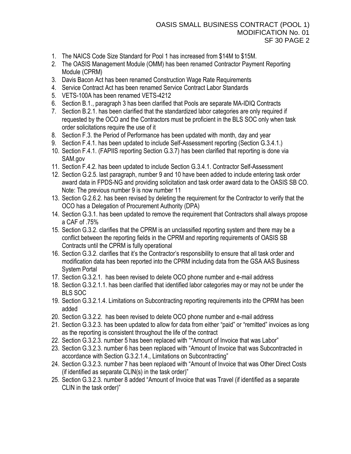- 1. The NAICS Code Size Standard for Pool 1 has increased from \$14M to \$15M.
- 2. The OASIS Management Module (OMM) has been renamed Contractor Payment Reporting Module (CPRM)
- 3. Davis Bacon Act has been renamed Construction Wage Rate Requirements
- 4. Service Contract Act has been renamed Service Contract Labor Standards
- 5. VETS-100A has been renamed VETS-4212
- 6. Section B.1., paragraph 3 has been clarified that Pools are separate MA-IDIQ Contracts
- 7. Section B.2.1. has been clarified that the standardized labor categories are only required if requested by the OCO and the Contractors must be proficient in the BLS SOC only when task order solicitations require the use of it
- 8. Section F.3. the Period of Performance has been updated with month, day and year
- 9. Section F.4.1. has been updated to include Self-Assessment reporting (Section G.3.4.1.)
- 10. Section F.4.1. (FAPIIS reporting Section G.3.7) has been clarified that reporting is done via SAM.gov
- 11. Section F.4.2. has been updated to include Section G.3.4.1. Contractor Self-Assessment
- 12. Section G.2.5. last paragraph, number 9 and 10 have been added to include entering task order award data in FPDS-NG and providing solicitation and task order award data to the OASIS SB CO. Note: The previous number 9 is now number 11
- 13. Section G.2.6.2. has been revised by deleting the requirement for the Contractor to verify that the OCO has a Delegation of Procurement Authority (DPA)
- 14. Section G.3.1. has been updated to remove the requirement that Contractors shall always propose a CAF of .75%
- 15. Section G.3.2. clarifies that the CPRM is an unclassified reporting system and there may be a conflict between the reporting fields in the CPRM and reporting requirements of OASIS SB Contracts until the CPRM is fully operational
- 16. Section G.3.2. clarifies that it's the Contractor's responsibility to ensure that all task order and modification data has been reported into the CPRM including data from the GSA AAS Business System Portal
- 17. Section G.3.2.1. has been revised to delete OCO phone number and e-mail address
- 18. Section G.3.2.1.1. has been clarified that identified labor categories may or may not be under the BLS SOC
- 19. Section G.3.2.1.4. Limitations on Subcontracting reporting requirements into the CPRM has been added
- 20. Section G.3.2.2. has been revised to delete OCO phone number and e-mail address
- 21. Section G.3.2.3. has been updated to allow for data from either "paid" or "remitted" invoices as long as the reporting is consistent throughout the life of the contract
- 22. Section G.3.2.3. number 5 has been replaced with "\*Amount of Invoice that was Labor"
- 23. Section G.3.2.3. number 6 has been replaced with "Amount of Invoice that was Subcontracted in accordance with Section G.3.2.1.4., Limitations on Subcontracting"
- 24. Section G.3.2.3. number 7 has been replaced with "Amount of Invoice that was Other Direct Costs (if identified as separate CLIN(s) in the task order)"
- 25. Section G.3.2.3. number 8 added "Amount of Invoice that was Travel (if identified as a separate CLIN in the task order)"